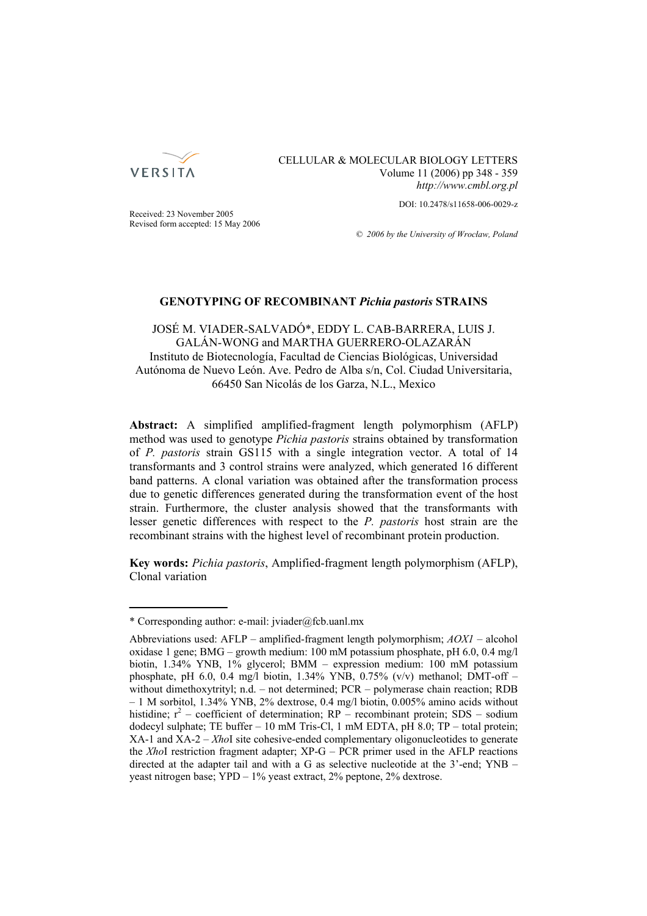

CELLULAR & MOLECULAR BIOLOGY LETTERS Volume 11 (2006) pp 348 - 359 *http://www.cmbl.org.pl*

DOI: 10.2478/s11658-006-0029-z

Received: 23 November 2005 Revised form accepted: 15 May 2006

*© 2006 by the University of Wrocław, Poland*

# **GENOTYPING OF RECOMBINANT** *Pichia pastoris* **STRAINS**

JOSÉ M. VIADER-SALVADÓ\*, EDDY L. CAB-BARRERA, LUIS J. GALÁN-WONG and MARTHA GUERRERO-OLAZARÁN Instituto de Biotecnología, Facultad de Ciencias Biológicas, Universidad Autónoma de Nuevo León. Ave. Pedro de Alba s/n, Col. Ciudad Universitaria, 66450 San Nicolás de los Garza, N.L., Mexico

**Abstract:** A simplified amplified-fragment length polymorphism (AFLP) method was used to genotype *Pichia pastoris* strains obtained by transformation of *P. pastoris* strain GS115 with a single integration vector. A total of 14 transformants and 3 control strains were analyzed, which generated 16 different band patterns. A clonal variation was obtained after the transformation process due to genetic differences generated during the transformation event of the host strain. Furthermore, the cluster analysis showed that the transformants with lesser genetic differences with respect to the *P. pastoris* host strain are the recombinant strains with the highest level of recombinant protein production.

**Key words:** *Pichia pastoris*, Amplified-fragment length polymorphism (AFLP), Clonal variation

<sup>\*</sup> Corresponding author: e-mail: jviader@fcb.uanl.mx

Abbreviations used: AFLP – amplified-fragment length polymorphism; *AOX1* – alcohol oxidase 1 gene; BMG – growth medium: 100 mM potassium phosphate, pH 6.0, 0.4 mg/l biotin, 1.34% YNB, 1% glycerol; BMM – expression medium: 100 mM potassium phosphate, pH 6.0, 0.4 mg/l biotin, 1.34% YNB, 0.75% (v/v) methanol;  $\overline{DMT\text{-off}}$  – without dimethoxytrityl; n.d. – not determined; PCR – polymerase chain reaction; RDB – 1 M sorbitol, 1.34% YNB, 2% dextrose, 0.4 mg/l biotin, 0.005% amino acids without histidine;  $r^2$  – coefficient of determination; RP – recombinant protein; SDS – sodium dodecyl sulphate; TE buffer – 10 mM Tris-Cl, 1 mM EDTA, pH 8.0; TP – total protein; XA-1 and XA-2 – *Xho*I site cohesive-ended complementary oligonucleotides to generate the *Xho*I restriction fragment adapter; XP-G – PCR primer used in the AFLP reactions directed at the adapter tail and with a G as selective nucleotide at the 3'-end; YNB – yeast nitrogen base; YPD – 1% yeast extract, 2% peptone, 2% dextrose.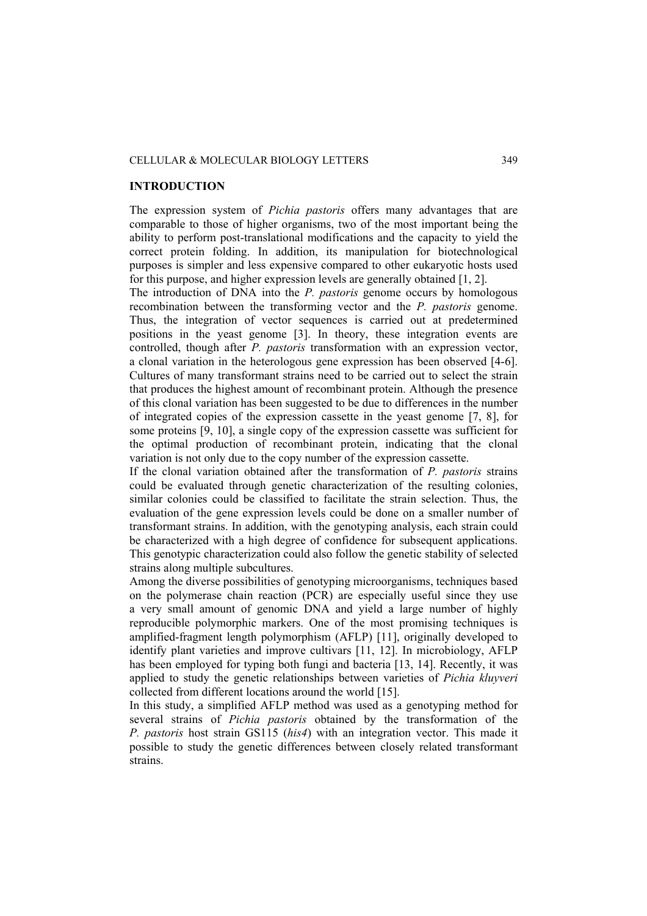## CELLULAR & MOLECULAR BIOLOGY LETTERS 349

### **INTRODUCTION**

The expression system of *Pichia pastoris* offers many advantages that are comparable to those of higher organisms, two of the most important being the ability to perform post-translational modifications and the capacity to yield the correct protein folding. In addition, its manipulation for biotechnological purposes is simpler and less expensive compared to other eukaryotic hosts used for this purpose, and higher expression levels are generally obtained [1, 2].

The introduction of DNA into the *P. pastoris* genome occurs by homologous recombination between the transforming vector and the *P. pastoris* genome. Thus, the integration of vector sequences is carried out at predetermined positions in the yeast genome [3]. In theory, these integration events are controlled, though after *P. pastoris* transformation with an expression vector, a clonal variation in the heterologous gene expression has been observed [4-6]. Cultures of many transformant strains need to be carried out to select the strain that produces the highest amount of recombinant protein. Although the presence of this clonal variation has been suggested to be due to differences in the number of integrated copies of the expression cassette in the yeast genome [7, 8], for some proteins [9, 10], a single copy of the expression cassette was sufficient for the optimal production of recombinant protein, indicating that the clonal variation is not only due to the copy number of the expression cassette.

If the clonal variation obtained after the transformation of *P. pastoris* strains could be evaluated through genetic characterization of the resulting colonies, similar colonies could be classified to facilitate the strain selection. Thus, the evaluation of the gene expression levels could be done on a smaller number of transformant strains. In addition, with the genotyping analysis, each strain could be characterized with a high degree of confidence for subsequent applications. This genotypic characterization could also follow the genetic stability of selected strains along multiple subcultures.

Among the diverse possibilities of genotyping microorganisms, techniques based on the polymerase chain reaction (PCR) are especially useful since they use a very small amount of genomic DNA and yield a large number of highly reproducible polymorphic markers. One of the most promising techniques is amplified-fragment length polymorphism (AFLP) [11], originally developed to identify plant varieties and improve cultivars [11, 12]. In microbiology, AFLP has been employed for typing both fungi and bacteria [13, 14]. Recently, it was applied to study the genetic relationships between varieties of *Pichia kluyveri*  collected from different locations around the world [15].

In this study, a simplified AFLP method was used as a genotyping method for several strains of *Pichia pastoris* obtained by the transformation of the *P. pastoris* host strain GS115 (*his4*) with an integration vector. This made it possible to study the genetic differences between closely related transformant strains.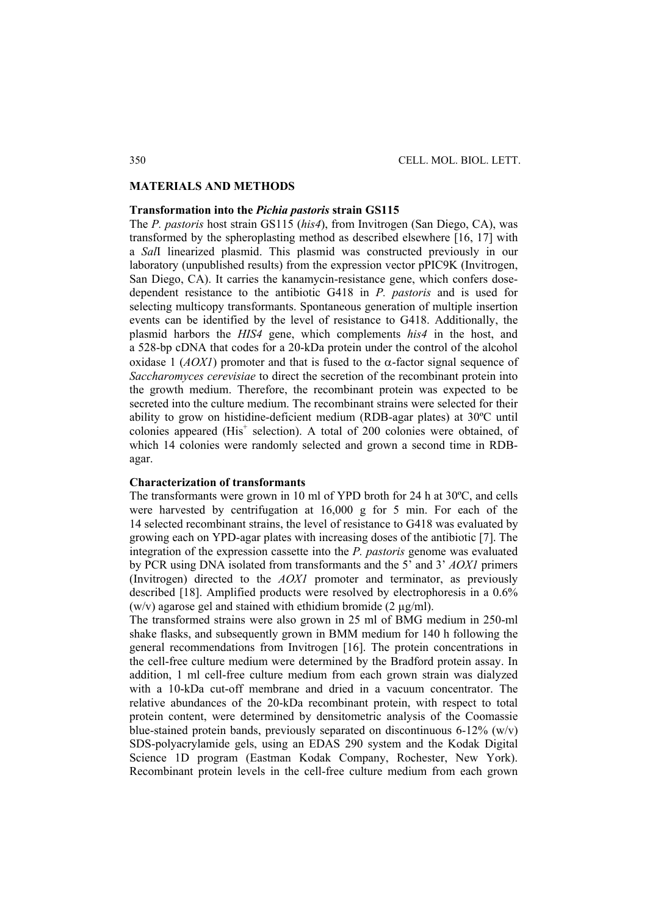## **MATERIALS AND METHODS**

#### **Transformation into the** *Pichia pastoris* **strain GS115**

The *P. pastoris* host strain GS115 (*his4*), from Invitrogen (San Diego, CA), was transformed by the spheroplasting method as described elsewhere [16, 17] with a *Sal*I linearized plasmid. This plasmid was constructed previously in our laboratory (unpublished results) from the expression vector pPIC9K (Invitrogen, San Diego, CA). It carries the kanamycin-resistance gene, which confers dosedependent resistance to the antibiotic G418 in *P. pastoris* and is used for selecting multicopy transformants. Spontaneous generation of multiple insertion events can be identified by the level of resistance to G418. Additionally, the plasmid harbors the *HIS4* gene, which complements *his4* in the host, and a 528-bp cDNA that codes for a 20-kDa protein under the control of the alcohol oxidase 1  $(AOXI)$  promoter and that is fused to the  $\alpha$ -factor signal sequence of *Saccharomyces cerevisiae* to direct the secretion of the recombinant protein into the growth medium. Therefore, the recombinant protein was expected to be secreted into the culture medium. The recombinant strains were selected for their ability to grow on histidine-deficient medium (RDB-agar plates) at 30ºC until colonies appeared (His<sup>+</sup> selection). A total of 200 colonies were obtained, of which 14 colonies were randomly selected and grown a second time in RDBagar.

### **Characterization of transformants**

The transformants were grown in 10 ml of YPD broth for 24 h at 30ºC, and cells were harvested by centrifugation at  $16,000 \text{ g}$  for 5 min. For each of the 14 selected recombinant strains, the level of resistance to G418 was evaluated by growing each on YPD-agar plates with increasing doses of the antibiotic [7]. The integration of the expression cassette into the *P. pastoris* genome was evaluated by PCR using DNA isolated from transformants and the 5' and 3' *AOX1* primers (Invitrogen) directed to the *AOX1* promoter and terminator, as previously described [18]. Amplified products were resolved by electrophoresis in a 0.6% (w/v) agarose gel and stained with ethidium bromide  $(2 \mu g/ml)$ .

The transformed strains were also grown in 25 ml of BMG medium in 250-ml shake flasks, and subsequently grown in BMM medium for 140 h following the general recommendations from Invitrogen [16]. The protein concentrations in the cell-free culture medium were determined by the Bradford protein assay. In addition, 1 ml cell-free culture medium from each grown strain was dialyzed with a 10-kDa cut-off membrane and dried in a vacuum concentrator. The relative abundances of the 20-kDa recombinant protein, with respect to total protein content, were determined by densitometric analysis of the Coomassie blue-stained protein bands, previously separated on discontinuous  $6-12\%$  (w/v) SDS-polyacrylamide gels, using an EDAS 290 system and the Kodak Digital Science 1D program (Eastman Kodak Company, Rochester, New York). Recombinant protein levels in the cell-free culture medium from each grown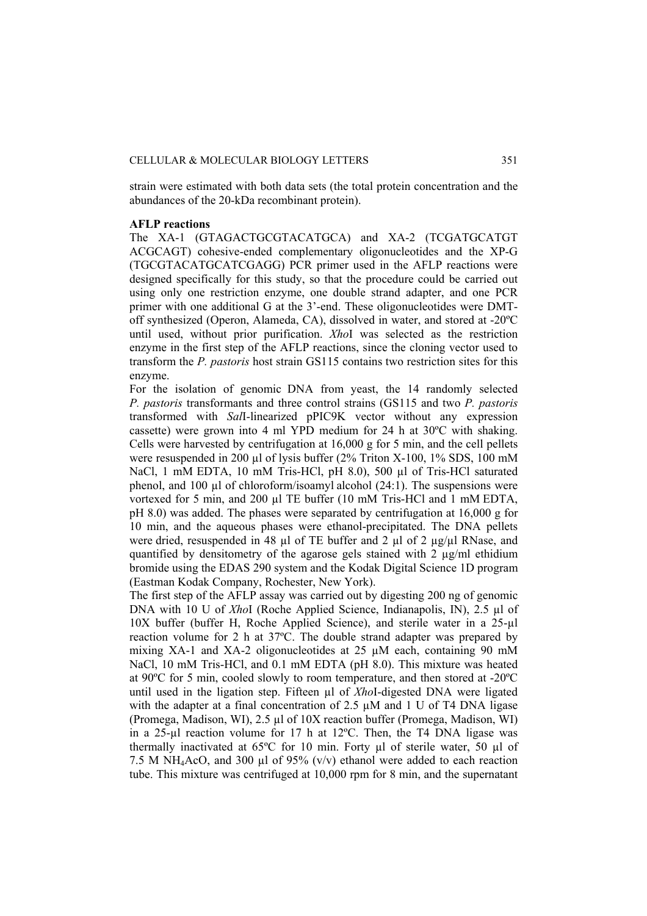strain were estimated with both data sets (the total protein concentration and the abundances of the 20-kDa recombinant protein).

#### **AFLP reactions**

The XA-1 (GTAGACTGCGTACATGCA) and XA-2 (TCGATGCATGT ACGCAGT) cohesive-ended complementary oligonucleotides and the XP-G (TGCGTACATGCATCGAGG) PCR primer used in the AFLP reactions were designed specifically for this study, so that the procedure could be carried out using only one restriction enzyme, one double strand adapter, and one PCR primer with one additional G at the 3'-end. These oligonucleotides were DMToff synthesized (Operon, Alameda, CA), dissolved in water, and stored at -20ºC until used, without prior purification. *Xho*I was selected as the restriction enzyme in the first step of the AFLP reactions, since the cloning vector used to transform the *P. pastoris* host strain GS115 contains two restriction sites for this enzyme.

For the isolation of genomic DNA from yeast, the 14 randomly selected *P. pastoris* transformants and three control strains (GS115 and two *P. pastoris* transformed with *Sal*I-linearized pPIC9K vector without any expression cassette) were grown into 4 ml YPD medium for 24 h at 30ºC with shaking. Cells were harvested by centrifugation at 16,000 g for 5 min, and the cell pellets were resuspended in 200 µl of lysis buffer (2% Triton X-100, 1% SDS, 100 mM NaCl, 1 mM EDTA, 10 mM Tris-HCl, pH 8.0), 500 µl of Tris-HCl saturated phenol, and 100 µl of chloroform/isoamyl alcohol (24:1). The suspensions were vortexed for 5 min, and 200 µl TE buffer (10 mM Tris-HCl and 1 mM EDTA, pH 8.0) was added. The phases were separated by centrifugation at 16,000 g for 10 min, and the aqueous phases were ethanol-precipitated. The DNA pellets were dried, resuspended in 48 µl of TE buffer and 2 µl of 2 µg/µl RNase, and quantified by densitometry of the agarose gels stained with 2 µg/ml ethidium bromide using the EDAS 290 system and the Kodak Digital Science 1D program (Eastman Kodak Company, Rochester, New York).

The first step of the AFLP assay was carried out by digesting 200 ng of genomic DNA with 10 U of *Xho*I (Roche Applied Science, Indianapolis, IN), 2.5 µl of 10X buffer (buffer H, Roche Applied Science), and sterile water in a 25-ul reaction volume for 2 h at 37ºC. The double strand adapter was prepared by mixing XA-1 and XA-2 oligonucleotides at 25 µM each, containing 90 mM NaCl, 10 mM Tris-HCl, and 0.1 mM EDTA (pH 8.0). This mixture was heated at 90ºC for 5 min, cooled slowly to room temperature, and then stored at -20ºC until used in the ligation step. Fifteen µl of *Xho*I-digested DNA were ligated with the adapter at a final concentration of 2.5  $\mu$ M and 1 U of T4 DNA ligase (Promega, Madison, WI), 2.5 µl of 10X reaction buffer (Promega, Madison, WI) in a 25-µl reaction volume for 17 h at 12ºC. Then, the T4 DNA ligase was thermally inactivated at 65ºC for 10 min. Forty µl of sterile water, 50 µl of 7.5 M NH<sub>4</sub>AcO, and 300 µl of 95% ( $v/v$ ) ethanol were added to each reaction tube. This mixture was centrifuged at 10,000 rpm for 8 min, and the supernatant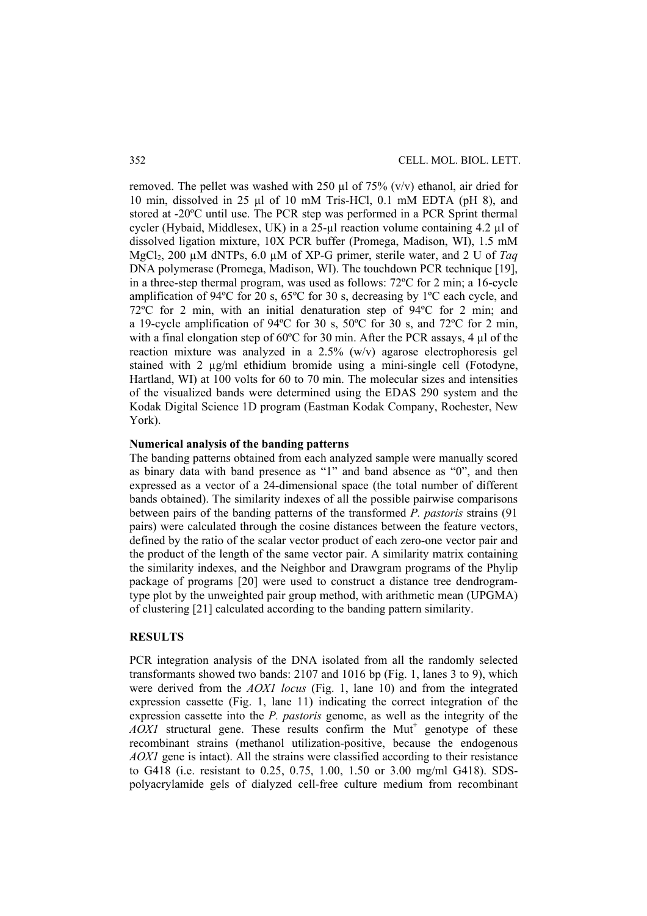removed. The pellet was washed with 250  $\mu$ l of 75% (v/v) ethanol, air dried for 10 min, dissolved in 25 µl of 10 mM Tris-HCl, 0.1 mM EDTA (pH 8), and stored at -20ºC until use. The PCR step was performed in a PCR Sprint thermal cycler (Hybaid, Middlesex, UK) in a 25-µl reaction volume containing 4.2 µl of dissolved ligation mixture, 10X PCR buffer (Promega, Madison, WI), 1.5 mM MgCl2, 200 µM dNTPs, 6.0 µM of XP-G primer, sterile water, and 2 U of *Taq*  DNA polymerase (Promega, Madison, WI). The touchdown PCR technique [19], in a three-step thermal program, was used as follows: 72ºC for 2 min; a 16-cycle amplification of 94ºC for 20 s, 65ºC for 30 s, decreasing by 1ºC each cycle, and 72ºC for 2 min, with an initial denaturation step of 94ºC for 2 min; and a 19-cycle amplification of 94ºC for 30 s, 50ºC for 30 s, and 72ºC for 2 min, with a final elongation step of 60°C for 30 min. After the PCR assays, 4 µl of the reaction mixture was analyzed in a 2.5% (w/v) agarose electrophoresis gel stained with 2 ug/ml ethidium bromide using a mini-single cell (Fotodyne, Hartland, WI) at 100 volts for 60 to 70 min. The molecular sizes and intensities of the visualized bands were determined using the EDAS 290 system and the Kodak Digital Science 1D program (Eastman Kodak Company, Rochester, New York).

## **Numerical analysis of the banding patterns**

The banding patterns obtained from each analyzed sample were manually scored as binary data with band presence as "1" and band absence as "0", and then expressed as a vector of a 24-dimensional space (the total number of different bands obtained). The similarity indexes of all the possible pairwise comparisons between pairs of the banding patterns of the transformed *P. pastoris* strains (91 pairs) were calculated through the cosine distances between the feature vectors, defined by the ratio of the scalar vector product of each zero-one vector pair and the product of the length of the same vector pair. A similarity matrix containing the similarity indexes, and the Neighbor and Drawgram programs of the Phylip package of programs [20] were used to construct a distance tree dendrogramtype plot by the unweighted pair group method, with arithmetic mean (UPGMA) of clustering [21] calculated according to the banding pattern similarity.

# **RESULTS**

PCR integration analysis of the DNA isolated from all the randomly selected transformants showed two bands: 2107 and 1016 bp (Fig. 1, lanes 3 to 9), which were derived from the *AOX1 locus* (Fig. 1, lane 10) and from the integrated expression cassette (Fig. 1, lane 11) indicating the correct integration of the expression cassette into the *P. pastoris* genome, as well as the integrity of the  $A\overrightarrow{O}XI$  structural gene. These results confirm the Mut<sup>+</sup> genotype of these recombinant strains (methanol utilization-positive, because the endogenous *AOX1* gene is intact). All the strains were classified according to their resistance to G418 (i.e. resistant to 0.25, 0.75, 1.00, 1.50 or 3.00 mg/ml G418). SDSpolyacrylamide gels of dialyzed cell-free culture medium from recombinant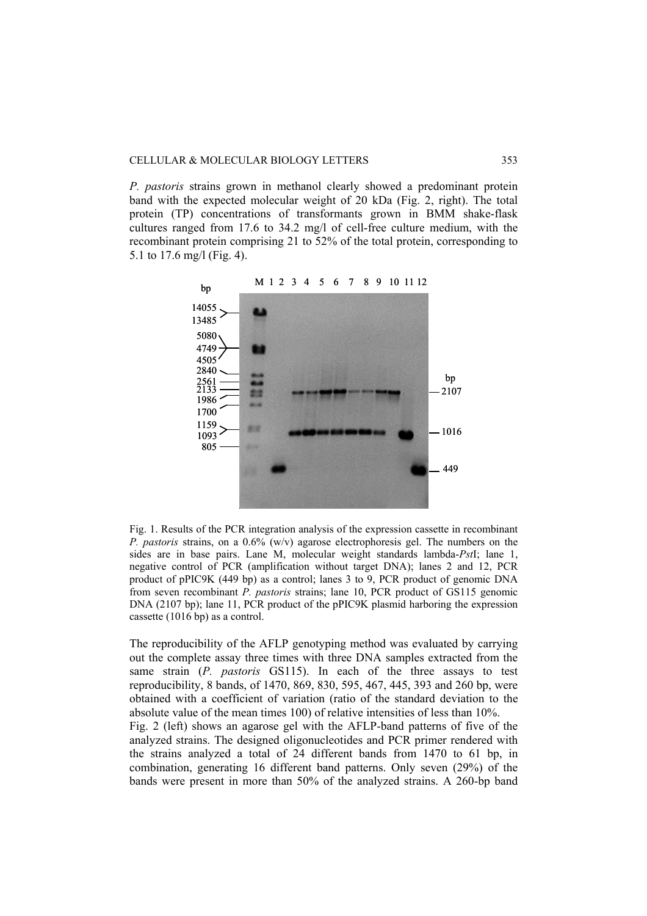*P. pastoris* strains grown in methanol clearly showed a predominant protein band with the expected molecular weight of 20 kDa (Fig. 2, right). The total protein (TP) concentrations of transformants grown in BMM shake-flask cultures ranged from 17.6 to 34.2 mg/l of cell-free culture medium, with the recombinant protein comprising 21 to 52% of the total protein, corresponding to 5.1 to 17.6 mg/l (Fig. 4).



Fig. 1. Results of the PCR integration analysis of the expression cassette in recombinant *P. pastoris* strains, on a 0.6% (w/v) agarose electrophoresis gel. The numbers on the sides are in base pairs. Lane M, molecular weight standards lambda-*Pst*I; lane 1, negative control of PCR (amplification without target DNA); lanes 2 and 12, PCR product of pPIC9K (449 bp) as a control; lanes 3 to 9, PCR product of genomic DNA from seven recombinant *P. pastoris* strains; lane 10, PCR product of GS115 genomic DNA (2107 bp); lane 11, PCR product of the pPIC9K plasmid harboring the expression cassette (1016 bp) as a control.

The reproducibility of the AFLP genotyping method was evaluated by carrying out the complete assay three times with three DNA samples extracted from the same strain (*P. pastoris* GS115). In each of the three assays to test reproducibility, 8 bands, of 1470, 869, 830, 595, 467, 445, 393 and 260 bp, were obtained with a coefficient of variation (ratio of the standard deviation to the absolute value of the mean times 100) of relative intensities of less than 10%.

Fig. 2 (left) shows an agarose gel with the AFLP-band patterns of five of the analyzed strains. The designed oligonucleotides and PCR primer rendered with the strains analyzed a total of 24 different bands from 1470 to 61 bp, in combination, generating 16 different band patterns. Only seven (29%) of the bands were present in more than 50% of the analyzed strains. A 260-bp band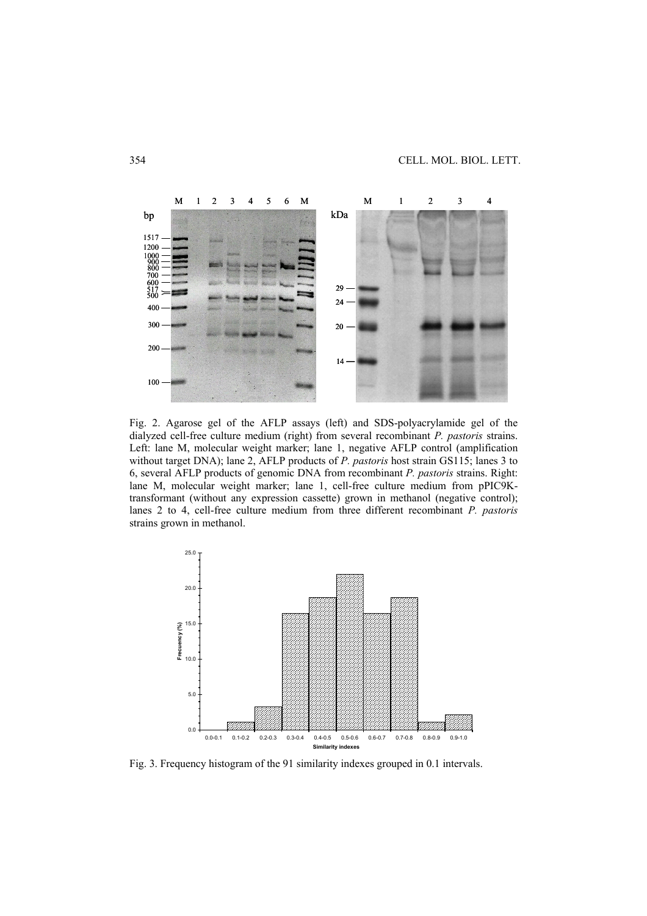

Fig. 2. Agarose gel of the AFLP assays (left) and SDS-polyacrylamide gel of the dialyzed cell-free culture medium (right) from several recombinant *P. pastoris* strains. Left: lane M, molecular weight marker; lane 1, negative AFLP control (amplification without target DNA); lane 2, AFLP products of *P. pastoris* host strain GS115; lanes 3 to 6, several AFLP products of genomic DNA from recombinant *P. pastoris* strains. Right: lane M, molecular weight marker; lane 1, cell-free culture medium from pPIC9Ktransformant (without any expression cassette) grown in methanol (negative control); lanes 2 to 4, cell-free culture medium from three different recombinant *P. pastoris* strains grown in methanol.



Fig. 3. Frequency histogram of the 91 similarity indexes grouped in 0.1 intervals.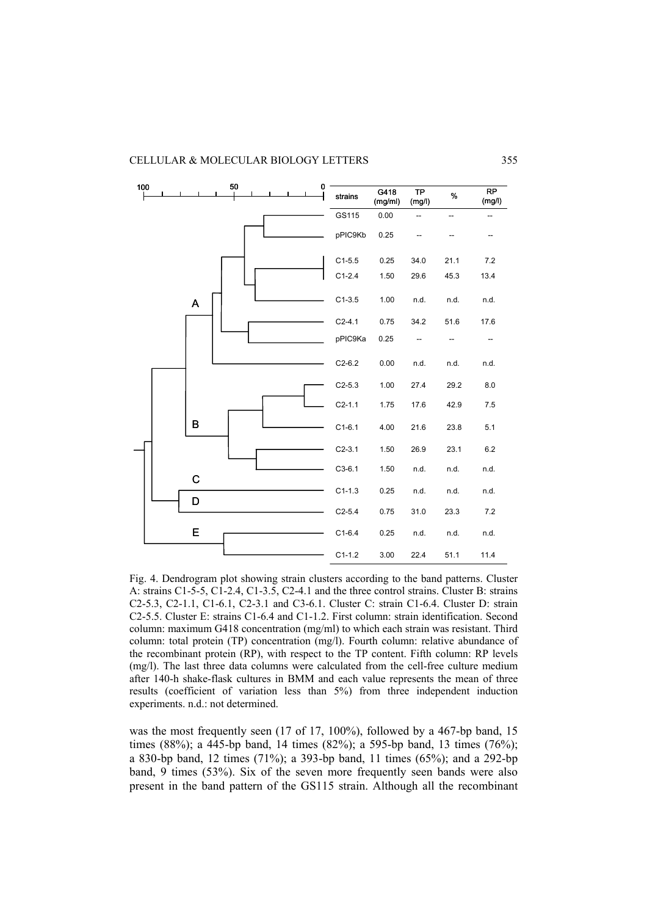

Fig. 4. Dendrogram plot showing strain clusters according to the band patterns. Cluster A: strains C1-5-5, C1-2.4, C1-3.5, C2-4.1 and the three control strains. Cluster B: strains C2-5.3, C2-1.1, C1-6.1, C2-3.1 and C3-6.1. Cluster C: strain C1-6.4. Cluster D: strain C2-5.5. Cluster E: strains C1-6.4 and C1-1.2. First column: strain identification. Second column: maximum G418 concentration (mg/ml) to which each strain was resistant. Third column: total protein (TP) concentration (mg/l). Fourth column: relative abundance of the recombinant protein (RP), with respect to the TP content. Fifth column: RP levels (mg/l). The last three data columns were calculated from the cell-free culture medium after 140-h shake-flask cultures in BMM and each value represents the mean of three results (coefficient of variation less than 5%) from three independent induction experiments. n.d.: not determined.

was the most frequently seen (17 of 17, 100%), followed by a 467-bp band, 15 times (88%); a 445-bp band, 14 times (82%); a 595-bp band, 13 times (76%); a 830-bp band, 12 times (71%); a 393-bp band, 11 times (65%); and a 292-bp band, 9 times (53%). Six of the seven more frequently seen bands were also present in the band pattern of the GS115 strain. Although all the recombinant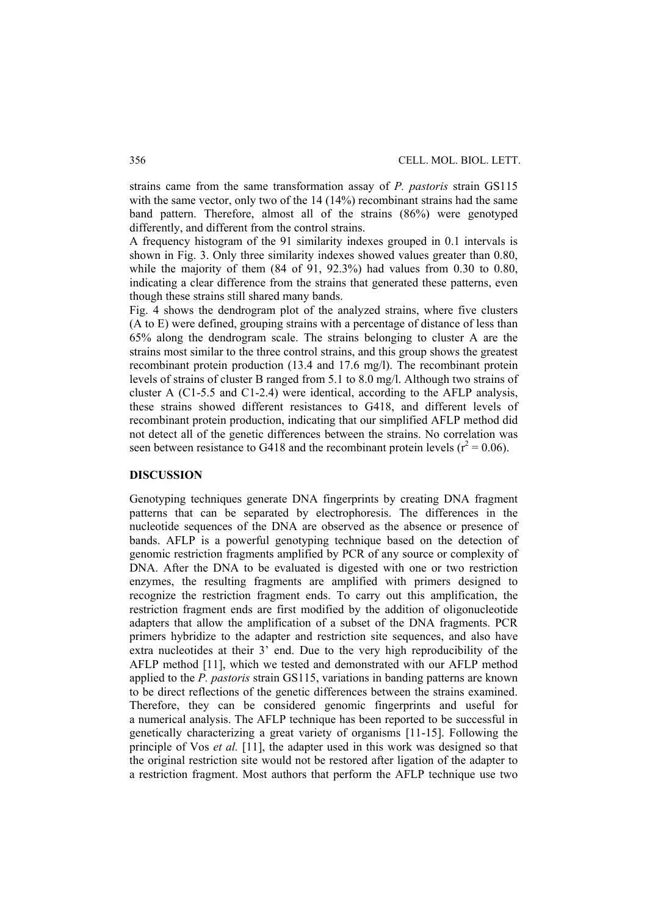strains came from the same transformation assay of *P. pastoris* strain GS115 with the same vector, only two of the 14 (14%) recombinant strains had the same band pattern. Therefore, almost all of the strains (86%) were genotyped differently, and different from the control strains.

A frequency histogram of the 91 similarity indexes grouped in 0.1 intervals is shown in Fig. 3. Only three similarity indexes showed values greater than 0.80, while the majority of them  $(84 \text{ of } 91, 92.3\%)$  had values from  $0.30$  to  $0.80$ , indicating a clear difference from the strains that generated these patterns, even though these strains still shared many bands.

Fig. 4 shows the dendrogram plot of the analyzed strains, where five clusters (A to E) were defined, grouping strains with a percentage of distance of less than 65% along the dendrogram scale. The strains belonging to cluster A are the strains most similar to the three control strains, and this group shows the greatest recombinant protein production (13.4 and 17.6 mg/l). The recombinant protein levels of strains of cluster B ranged from 5.1 to 8.0 mg/l. Although two strains of cluster A (C1-5.5 and C1-2.4) were identical, according to the AFLP analysis, these strains showed different resistances to G418, and different levels of recombinant protein production, indicating that our simplified AFLP method did not detect all of the genetic differences between the strains. No correlation was seen between resistance to G418 and the recombinant protein levels ( $r^2 = 0.06$ ).

## **DISCUSSION**

Genotyping techniques generate DNA fingerprints by creating DNA fragment patterns that can be separated by electrophoresis. The differences in the nucleotide sequences of the DNA are observed as the absence or presence of bands. AFLP is a powerful genotyping technique based on the detection of genomic restriction fragments amplified by PCR of any source or complexity of DNA. After the DNA to be evaluated is digested with one or two restriction enzymes, the resulting fragments are amplified with primers designed to recognize the restriction fragment ends. To carry out this amplification, the restriction fragment ends are first modified by the addition of oligonucleotide adapters that allow the amplification of a subset of the DNA fragments. PCR primers hybridize to the adapter and restriction site sequences, and also have extra nucleotides at their 3' end. Due to the very high reproducibility of the AFLP method [11], which we tested and demonstrated with our AFLP method applied to the *P. pastoris* strain GS115, variations in banding patterns are known to be direct reflections of the genetic differences between the strains examined. Therefore, they can be considered genomic fingerprints and useful for a numerical analysis. The AFLP technique has been reported to be successful in genetically characterizing a great variety of organisms [11-15]. Following the principle of Vos *et al.* [11], the adapter used in this work was designed so that the original restriction site would not be restored after ligation of the adapter to a restriction fragment. Most authors that perform the AFLP technique use two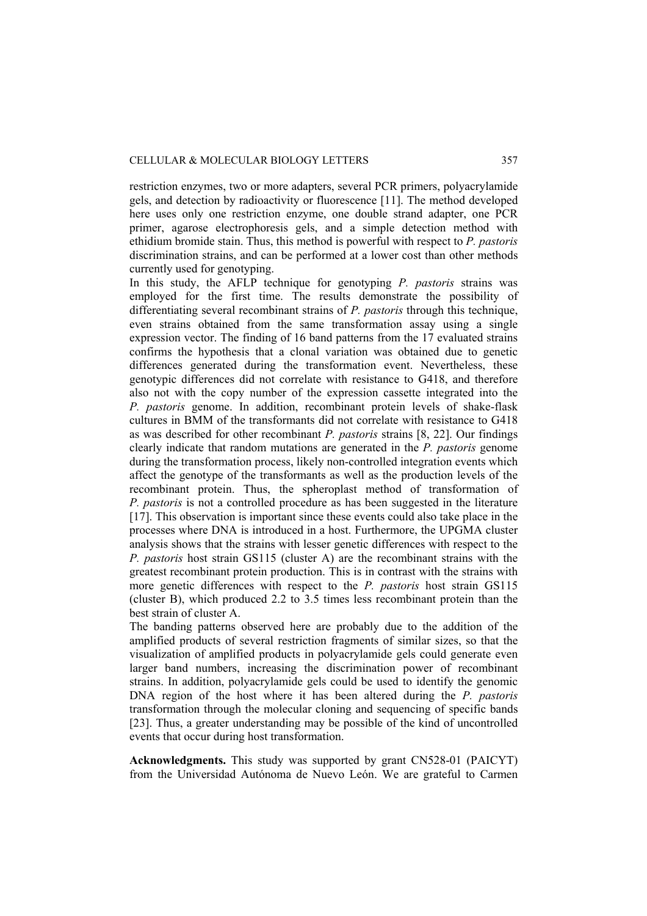restriction enzymes, two or more adapters, several PCR primers, polyacrylamide gels, and detection by radioactivity or fluorescence [11]. The method developed here uses only one restriction enzyme, one double strand adapter, one PCR primer, agarose electrophoresis gels, and a simple detection method with ethidium bromide stain. Thus, this method is powerful with respect to *P. pastoris* discrimination strains, and can be performed at a lower cost than other methods currently used for genotyping.

In this study, the AFLP technique for genotyping *P. pastoris* strains was employed for the first time. The results demonstrate the possibility of differentiating several recombinant strains of *P. pastoris* through this technique, even strains obtained from the same transformation assay using a single expression vector. The finding of 16 band patterns from the 17 evaluated strains confirms the hypothesis that a clonal variation was obtained due to genetic differences generated during the transformation event. Nevertheless, these genotypic differences did not correlate with resistance to G418, and therefore also not with the copy number of the expression cassette integrated into the *P. pastoris* genome. In addition, recombinant protein levels of shake-flask cultures in BMM of the transformants did not correlate with resistance to G418 as was described for other recombinant *P. pastoris* strains [8, 22]. Our findings clearly indicate that random mutations are generated in the *P. pastoris* genome during the transformation process, likely non-controlled integration events which affect the genotype of the transformants as well as the production levels of the recombinant protein. Thus, the spheroplast method of transformation of *P. pastoris* is not a controlled procedure as has been suggested in the literature [17]. This observation is important since these events could also take place in the processes where DNA is introduced in a host. Furthermore, the UPGMA cluster analysis shows that the strains with lesser genetic differences with respect to the *P. pastoris* host strain GS115 (cluster A) are the recombinant strains with the greatest recombinant protein production. This is in contrast with the strains with more genetic differences with respect to the *P. pastoris* host strain GS115 (cluster B), which produced 2.2 to 3.5 times less recombinant protein than the best strain of cluster A.

The banding patterns observed here are probably due to the addition of the amplified products of several restriction fragments of similar sizes, so that the visualization of amplified products in polyacrylamide gels could generate even larger band numbers, increasing the discrimination power of recombinant strains. In addition, polyacrylamide gels could be used to identify the genomic DNA region of the host where it has been altered during the *P. pastoris* transformation through the molecular cloning and sequencing of specific bands [23]. Thus, a greater understanding may be possible of the kind of uncontrolled events that occur during host transformation.

**Acknowledgments.** This study was supported by grant CN528-01 (PAICYT) from the Universidad Autónoma de Nuevo León. We are grateful to Carmen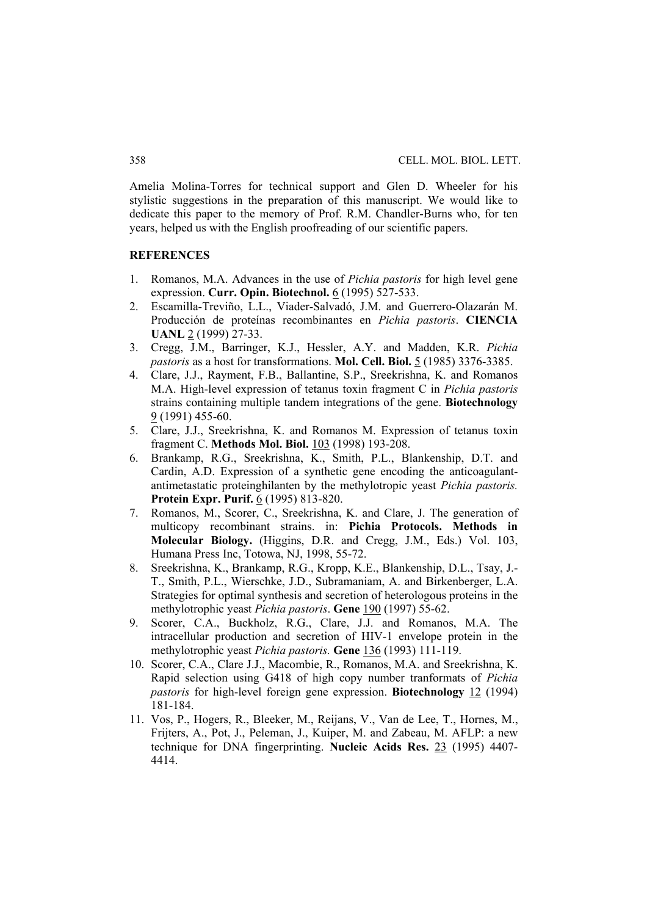Amelia Molina-Torres for technical support and Glen D. Wheeler for his stylistic suggestions in the preparation of this manuscript. We would like to dedicate this paper to the memory of Prof. R.M. Chandler-Burns who, for ten years, helped us with the English proofreading of our scientific papers.

# **REFERENCES**

- 1. Romanos, M.A. Advances in the use of *Pichia pastoris* for high level gene expression. **Curr. Opin. Biotechnol.** 6 (1995) 527-533.
- 2. Escamilla-Treviño, L.L., Viader-Salvadó, J.M. and Guerrero-Olazarán M. Producción de proteínas recombinantes en *Pichia pastoris*. **CIENCIA UANL** 2 (1999) 27-33.
- 3. Cregg, J.M., Barringer, K.J., Hessler, A.Y. and Madden, K.R. *Pichia pastoris* as a host for transformations. **Mol. Cell. Biol.** 5 (1985) 3376-3385.
- 4. Clare, J.J., Rayment, F.B., Ballantine, S.P., Sreekrishna, K. and Romanos M.A. High-level expression of tetanus toxin fragment C in *Pichia pastoris* strains containing multiple tandem integrations of the gene. **Biotechnology**  9 (1991) 455-60.
- 5. Clare, J.J., Sreekrishna, K. and Romanos M. Expression of tetanus toxin fragment C. **Methods Mol. Biol.** 103 (1998) 193-208.
- 6. Brankamp, R.G., Sreekrishna, K., Smith, P.L., Blankenship, D.T. and Cardin, A.D. Expression of a synthetic gene encoding the anticoagulantantimetastatic proteinghilanten by the methylotropic yeast *Pichia pastoris.* **Protein Expr. Purif.** 6 (1995) 813-820.
- 7. Romanos, M., Scorer, C., Sreekrishna, K. and Clare, J. The generation of multicopy recombinant strains. in: **Pichia Protocols. Methods in Molecular Biology.** (Higgins, D.R. and Cregg, J.M., Eds.) Vol. 103, Humana Press Inc, Totowa, NJ, 1998, 55-72.
- 8. Sreekrishna, K., Brankamp, R.G., Kropp, K.E., Blankenship, D.L., Tsay, J.- T., Smith, P.L., Wierschke, J.D., Subramaniam, A. and Birkenberger, L.A. Strategies for optimal synthesis and secretion of heterologous proteins in the methylotrophic yeast *Pichia pastoris*. **Gene** 190 (1997) 55-62.
- 9. Scorer, C.A., Buckholz, R.G., Clare, J.J. and Romanos, M.A. The intracellular production and secretion of HIV-1 envelope protein in the methylotrophic yeast *Pichia pastoris.* **Gene** 136 (1993) 111-119.
- 10. Scorer, C.A., Clare J.J., Macombie, R., Romanos, M.A. and Sreekrishna, K. Rapid selection using G418 of high copy number tranformats of *Pichia pastoris* for high-level foreign gene expression. **Biotechnology** 12 (1994) 181-184.
- 11. Vos, P., Hogers, R., Bleeker, M., Reijans, V., Van de Lee, T., Hornes, M., Frijters, A., Pot, J., Peleman, J., Kuiper, M. and Zabeau, M. AFLP: a new technique for DNA fingerprinting. **Nucleic Acids Res.** 23 (1995) 4407- 4414.